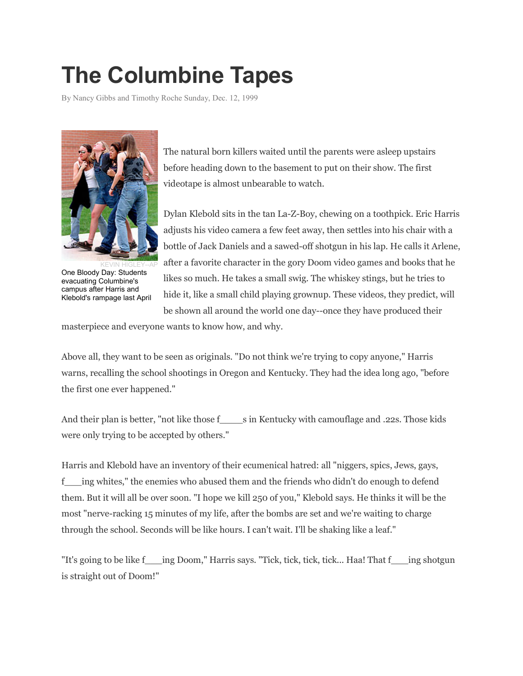# **The Columbine Tapes**

By Nancy Gibbs and Timothy Roche Sunday, Dec. 12, 1999



KEVIN HIGLEY--AP One Bloody Day: Students evacuating Columbine's campus after Harris and Klebold's rampage last April

The natural born killers waited until the parents were asleep upstairs before heading down to the basement to put on their show. The first videotape is almost unbearable to watch.

Dylan Klebold sits in the tan La-Z-Boy, chewing on a toothpick. Eric Harris adjusts his video camera a few feet away, then settles into his chair with a bottle of Jack Daniels and a sawed-off shotgun in his lap. He calls it Arlene, after a favorite character in the gory Doom video games and books that he likes so much. He takes a small swig. The whiskey stings, but he tries to hide it, like a small child playing grownup. These videos, they predict, will be shown all around the world one day--once they have produced their

masterpiece and everyone wants to know how, and why.

Above all, they want to be seen as originals. "Do not think we're trying to copy anyone," Harris warns, recalling the school shootings in Oregon and Kentucky. They had the idea long ago, "before the first one ever happened."

And their plan is better, "not like those fearly in Kentucky with camouflage and .22s. Those kids were only trying to be accepted by others."

Harris and Klebold have an inventory of their ecumenical hatred: all "niggers, spics, Jews, gays, f\_\_\_ing whites," the enemies who abused them and the friends who didn't do enough to defend them. But it will all be over soon. "I hope we kill 250 of you," Klebold says. He thinks it will be the most "nerve-racking 15 minutes of my life, after the bombs are set and we're waiting to charge through the school. Seconds will be like hours. I can't wait. I'll be shaking like a leaf."

"It's going to be like f\_\_\_ing Doom," Harris says. "Tick, tick, tick, tick... Haa! That f\_\_\_ing shotgun is straight out of Doom!"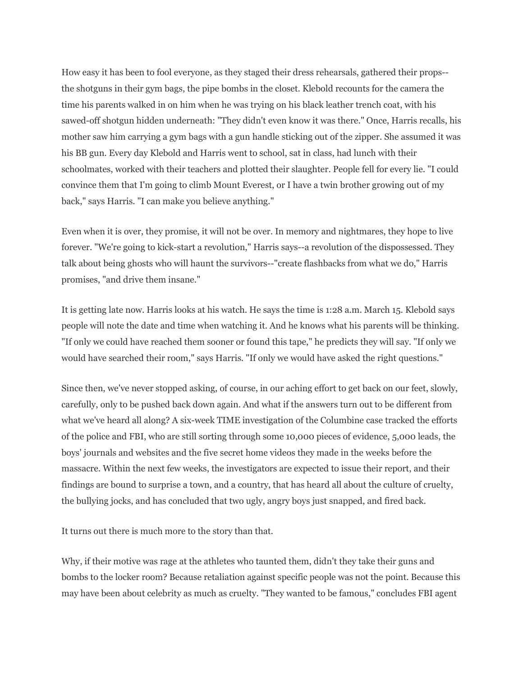How easy it has been to fool everyone, as they staged their dress rehearsals, gathered their props- the shotguns in their gym bags, the pipe bombs in the closet. Klebold recounts for the camera the time his parents walked in on him when he was trying on his black leather trench coat, with his sawed-off shotgun hidden underneath: "They didn't even know it was there." Once, Harris recalls, his mother saw him carrying a gym bags with a gun handle sticking out of the zipper. She assumed it was his BB gun. Every day Klebold and Harris went to school, sat in class, had lunch with their schoolmates, worked with their teachers and plotted their slaughter. People fell for every lie. "I could convince them that I'm going to climb Mount Everest, or I have a twin brother growing out of my back," says Harris. "I can make you believe anything."

Even when it is over, they promise, it will not be over. In memory and nightmares, they hope to live forever. "We're going to kick-start a revolution," Harris says--a revolution of the dispossessed. They talk about being ghosts who will haunt the survivors--"create flashbacks from what we do," Harris promises, "and drive them insane."

It is getting late now. Harris looks at his watch. He says the time is 1:28 a.m. March 15. Klebold says people will note the date and time when watching it. And he knows what his parents will be thinking. "If only we could have reached them sooner or found this tape," he predicts they will say. "If only we would have searched their room," says Harris. "If only we would have asked the right questions."

Since then, we've never stopped asking, of course, in our aching effort to get back on our feet, slowly, carefully, only to be pushed back down again. And what if the answers turn out to be different from what we've heard all along? A six-week TIME investigation of the Columbine case tracked the efforts of the police and FBI, who are still sorting through some 10,000 pieces of evidence, 5,000 leads, the boys' journals and websites and the five secret home videos they made in the weeks before the massacre. Within the next few weeks, the investigators are expected to issue their report, and their findings are bound to surprise a town, and a country, that has heard all about the culture of cruelty, the bullying jocks, and has concluded that two ugly, angry boys just snapped, and fired back.

It turns out there is much more to the story than that.

Why, if their motive was rage at the athletes who taunted them, didn't they take their guns and bombs to the locker room? Because retaliation against specific people was not the point. Because this may have been about celebrity as much as cruelty. "They wanted to be famous," concludes FBI agent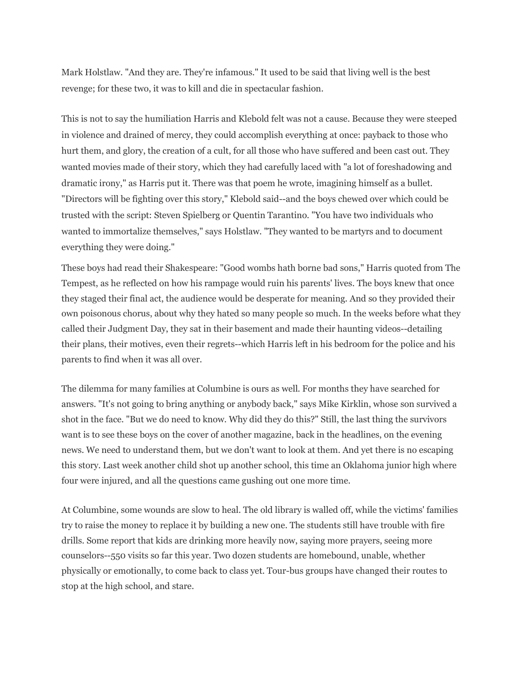Mark Holstlaw. "And they are. They're infamous." It used to be said that living well is the best revenge; for these two, it was to kill and die in spectacular fashion.

This is not to say the humiliation Harris and Klebold felt was not a cause. Because they were steeped in violence and drained of mercy, they could accomplish everything at once: payback to those who hurt them, and glory, the creation of a cult, for all those who have suffered and been cast out. They wanted movies made of their story, which they had carefully laced with "a lot of foreshadowing and dramatic irony," as Harris put it. There was that poem he wrote, imagining himself as a bullet. "Directors will be fighting over this story," Klebold said--and the boys chewed over which could be trusted with the script: Steven Spielberg or Quentin Tarantino. "You have two individuals who wanted to immortalize themselves," says Holstlaw. "They wanted to be martyrs and to document everything they were doing."

These boys had read their Shakespeare: "Good wombs hath borne bad sons," Harris quoted from The Tempest, as he reflected on how his rampage would ruin his parents' lives. The boys knew that once they staged their final act, the audience would be desperate for meaning. And so they provided their own poisonous chorus, about why they hated so many people so much. In the weeks before what they called their Judgment Day, they sat in their basement and made their haunting videos--detailing their plans, their motives, even their regrets--which Harris left in his bedroom for the police and his parents to find when it was all over.

The dilemma for many families at Columbine is ours as well. For months they have searched for answers. "It's not going to bring anything or anybody back," says Mike Kirklin, whose son survived a shot in the face. "But we do need to know. Why did they do this?" Still, the last thing the survivors want is to see these boys on the cover of another magazine, back in the headlines, on the evening news. We need to understand them, but we don't want to look at them. And yet there is no escaping this story. Last week another child shot up another school, this time an Oklahoma junior high where four were injured, and all the questions came gushing out one more time.

At Columbine, some wounds are slow to heal. The old library is walled off, while the victims' families try to raise the money to replace it by building a new one. The students still have trouble with fire drills. Some report that kids are drinking more heavily now, saying more prayers, seeing more counselors--550 visits so far this year. Two dozen students are homebound, unable, whether physically or emotionally, to come back to class yet. Tour-bus groups have changed their routes to stop at the high school, and stare.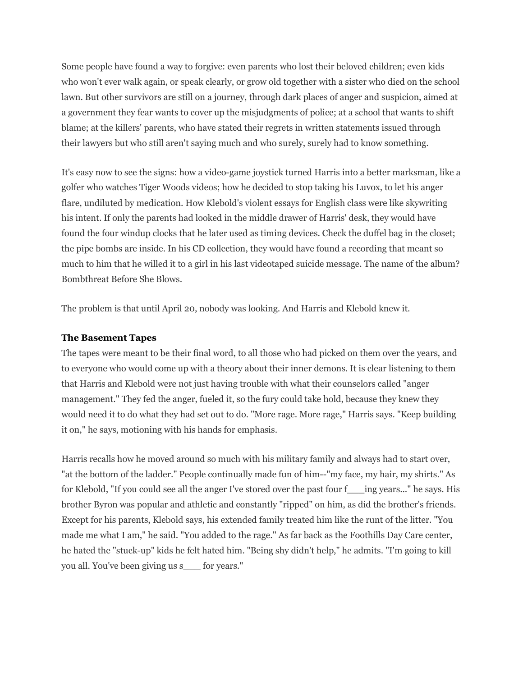Some people have found a way to forgive: even parents who lost their beloved children; even kids who won't ever walk again, or speak clearly, or grow old together with a sister who died on the school lawn. But other survivors are still on a journey, through dark places of anger and suspicion, aimed at a government they fear wants to cover up the misjudgments of police; at a school that wants to shift blame; at the killers' parents, who have stated their regrets in written statements issued through their lawyers but who still aren't saying much and who surely, surely had to know something.

It's easy now to see the signs: how a video-game joystick turned Harris into a better marksman, like a golfer who watches Tiger Woods videos; how he decided to stop taking his Luvox, to let his anger flare, undiluted by medication. How Klebold's violent essays for English class were like skywriting his intent. If only the parents had looked in the middle drawer of Harris' desk, they would have found the four windup clocks that he later used as timing devices. Check the duffel bag in the closet; the pipe bombs are inside. In his CD collection, they would have found a recording that meant so much to him that he willed it to a girl in his last videotaped suicide message. The name of the album? Bombthreat Before She Blows.

The problem is that until April 20, nobody was looking. And Harris and Klebold knew it.

#### **The Basement Tapes**

The tapes were meant to be their final word, to all those who had picked on them over the years, and to everyone who would come up with a theory about their inner demons. It is clear listening to them that Harris and Klebold were not just having trouble with what their counselors called "anger management." They fed the anger, fueled it, so the fury could take hold, because they knew they would need it to do what they had set out to do. "More rage. More rage," Harris says. "Keep building it on," he says, motioning with his hands for emphasis.

Harris recalls how he moved around so much with his military family and always had to start over, "at the bottom of the ladder." People continually made fun of him--"my face, my hair, my shirts." As for Klebold, "If you could see all the anger I've stored over the past four f\_\_\_ing years..." he says. His brother Byron was popular and athletic and constantly "ripped" on him, as did the brother's friends. Except for his parents, Klebold says, his extended family treated him like the runt of the litter. "You made me what I am," he said. "You added to the rage." As far back as the Foothills Day Care center, he hated the "stuck-up" kids he felt hated him. "Being shy didn't help," he admits. "I'm going to kill you all. You've been giving us s\_\_\_ for years."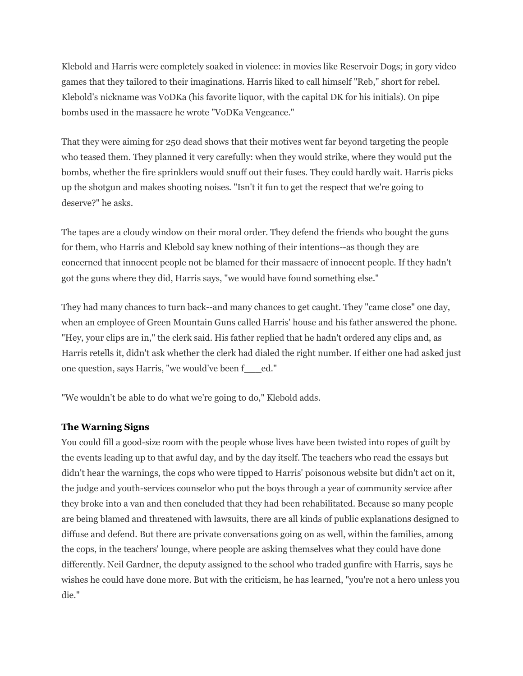Klebold and Harris were completely soaked in violence: in movies like Reservoir Dogs; in gory video games that they tailored to their imaginations. Harris liked to call himself "Reb," short for rebel. Klebold's nickname was VoDKa (his favorite liquor, with the capital DK for his initials). On pipe bombs used in the massacre he wrote "VoDKa Vengeance."

That they were aiming for 250 dead shows that their motives went far beyond targeting the people who teased them. They planned it very carefully: when they would strike, where they would put the bombs, whether the fire sprinklers would snuff out their fuses. They could hardly wait. Harris picks up the shotgun and makes shooting noises. "Isn't it fun to get the respect that we're going to deserve?" he asks.

The tapes are a cloudy window on their moral order. They defend the friends who bought the guns for them, who Harris and Klebold say knew nothing of their intentions--as though they are concerned that innocent people not be blamed for their massacre of innocent people. If they hadn't got the guns where they did, Harris says, "we would have found something else."

They had many chances to turn back--and many chances to get caught. They "came close" one day, when an employee of Green Mountain Guns called Harris' house and his father answered the phone. "Hey, your clips are in," the clerk said. His father replied that he hadn't ordered any clips and, as Harris retells it, didn't ask whether the clerk had dialed the right number. If either one had asked just one question, says Harris, "we would've been f\_\_\_ed."

"We wouldn't be able to do what we're going to do," Klebold adds.

## **The Warning Signs**

You could fill a good-size room with the people whose lives have been twisted into ropes of guilt by the events leading up to that awful day, and by the day itself. The teachers who read the essays but didn't hear the warnings, the cops who were tipped to Harris' poisonous website but didn't act on it, the judge and youth-services counselor who put the boys through a year of community service after they broke into a van and then concluded that they had been rehabilitated. Because so many people are being blamed and threatened with lawsuits, there are all kinds of public explanations designed to diffuse and defend. But there are private conversations going on as well, within the families, among the cops, in the teachers' lounge, where people are asking themselves what they could have done differently. Neil Gardner, the deputy assigned to the school who traded gunfire with Harris, says he wishes he could have done more. But with the criticism, he has learned, "you're not a hero unless you die."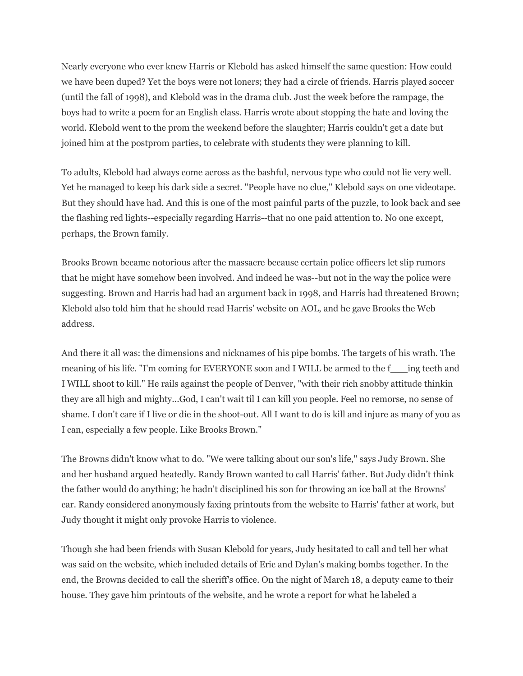Nearly everyone who ever knew Harris or Klebold has asked himself the same question: How could we have been duped? Yet the boys were not loners; they had a circle of friends. Harris played soccer (until the fall of 1998), and Klebold was in the drama club. Just the week before the rampage, the boys had to write a poem for an English class. Harris wrote about stopping the hate and loving the world. Klebold went to the prom the weekend before the slaughter; Harris couldn't get a date but joined him at the postprom parties, to celebrate with students they were planning to kill.

To adults, Klebold had always come across as the bashful, nervous type who could not lie very well. Yet he managed to keep his dark side a secret. "People have no clue," Klebold says on one videotape. But they should have had. And this is one of the most painful parts of the puzzle, to look back and see the flashing red lights--especially regarding Harris--that no one paid attention to. No one except, perhaps, the Brown family.

Brooks Brown became notorious after the massacre because certain police officers let slip rumors that he might have somehow been involved. And indeed he was--but not in the way the police were suggesting. Brown and Harris had had an argument back in 1998, and Harris had threatened Brown; Klebold also told him that he should read Harris' website on AOL, and he gave Brooks the Web address.

And there it all was: the dimensions and nicknames of his pipe bombs. The targets of his wrath. The meaning of his life. "I'm coming for EVERYONE soon and I WILL be armed to the f\_\_\_ing teeth and I WILL shoot to kill." He rails against the people of Denver, "with their rich snobby attitude thinkin they are all high and mighty...God, I can't wait til I can kill you people. Feel no remorse, no sense of shame. I don't care if I live or die in the shoot-out. All I want to do is kill and injure as many of you as I can, especially a few people. Like Brooks Brown."

The Browns didn't know what to do. "We were talking about our son's life," says Judy Brown. She and her husband argued heatedly. Randy Brown wanted to call Harris' father. But Judy didn't think the father would do anything; he hadn't disciplined his son for throwing an ice ball at the Browns' car. Randy considered anonymously faxing printouts from the website to Harris' father at work, but Judy thought it might only provoke Harris to violence.

Though she had been friends with Susan Klebold for years, Judy hesitated to call and tell her what was said on the website, which included details of Eric and Dylan's making bombs together. In the end, the Browns decided to call the sheriff's office. On the night of March 18, a deputy came to their house. They gave him printouts of the website, and he wrote a report for what he labeled a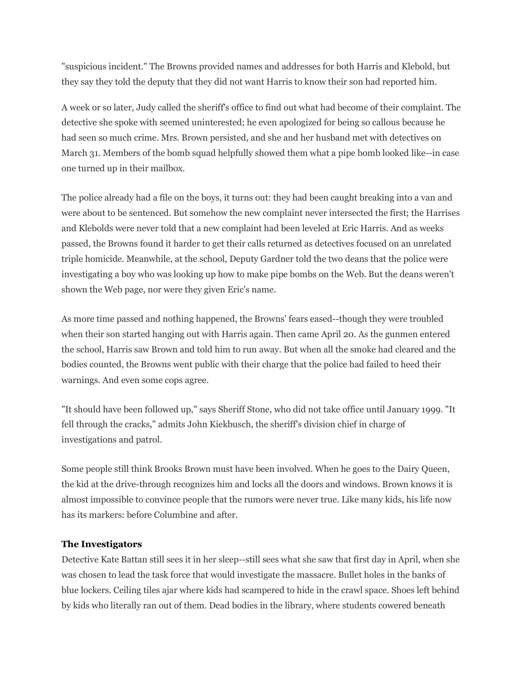"suspicious incident." The Browns provided names and addresses for both Harris and Klebold, but they say they told the deputy that they did not want Harris to know their son had reported him.

A week or so later, Judy called the sheriff's office to find out what had become of their complaint. The detective she spoke with seemed uninterested; he even apologized for being so callous because he had seen so much crime. Mrs. Brown persisted, and she and her husband met with detectives on March 31. Members of the bomb squad helpfully showed them what a pipe bomb looked like--in case one turned up in their mailbox.

The police already had a file on the boys, it turns out: they had been caught breaking into a van and were about to be sentenced. But somehow the new complaint never intersected the first; the Harrises and Klebolds were never told that a new complaint had been leveled at Eric Harris. And as weeks passed, the Browns found it harder to get their calls returned as detectives focused on an unrelated triple homicide. Meanwhile, at the school, Deputy Gardner told the two deans that the police were investigating a boy who was looking up how to make pipe bombs on the Web. But the deans weren't shown the Web page, nor were they given Eric's name.

As more time passed and nothing happened, the Browns' fears eased--though they were troubled when their son started hanging out with Harris again. Then came April 20. As the gunmen entered the school, Harris saw Brown and told him to run away. But when all the smoke had cleared and the bodies counted, the Browns went public with their charge that the police had failed to heed their warnings. And even some cops agree.

"It should have been followed up," says Sheriff Stone, who did not take office until January 1999. "It fell through the cracks," admits John Kiekbusch, the sheriff's division chief in charge of investigations and patrol.

Some people still think Brooks Brown must have been involved. When he goes to the Dairy Queen, the kid at the drive-through recognizes him and locks all the doors and windows. Brown knows it is almost impossible to convince people that the rumors were never true. Like many kids, his life now has its markers: before Columbine and after.

## **The Investigators**

Detective Kate Battan still sees it in her sleep--still sees what she saw that first day in April, when she was chosen to lead the task force that would investigate the massacre. Bullet holes in the banks of blue lockers. Ceiling tiles ajar where kids had scampered to hide in the crawl space. Shoes left behind by kids who literally ran out of them. Dead bodies in the library, where students cowered beneath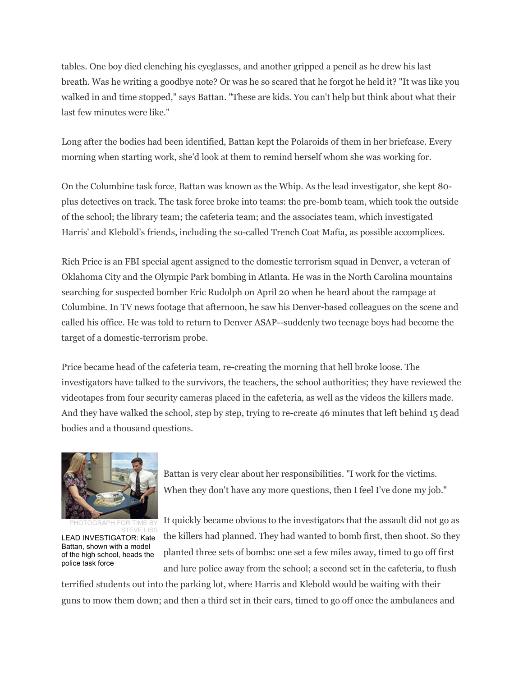tables. One boy died clenching his eyeglasses, and another gripped a pencil as he drew his last breath. Was he writing a goodbye note? Or was he so scared that he forgot he held it? "It was like you walked in and time stopped," says Battan. "These are kids. You can't help but think about what their last few minutes were like."

Long after the bodies had been identified, Battan kept the Polaroids of them in her briefcase. Every morning when starting work, she'd look at them to remind herself whom she was working for.

On the Columbine task force, Battan was known as the Whip. As the lead investigator, she kept 80 plus detectives on track. The task force broke into teams: the pre-bomb team, which took the outside of the school; the library team; the cafeteria team; and the associates team, which investigated Harris' and Klebold's friends, including the so-called Trench Coat Mafia, as possible accomplices.

Rich Price is an FBI special agent assigned to the domestic terrorism squad in Denver, a veteran of Oklahoma City and the Olympic Park bombing in Atlanta. He was in the North Carolina mountains searching for suspected bomber Eric Rudolph on April 20 when he heard about the rampage at Columbine. In TV news footage that afternoon, he saw his Denver-based colleagues on the scene and called his office. He was told to return to Denver ASAP--suddenly two teenage boys had become the target of a domestic-terrorism probe.

Price became head of the cafeteria team, re-creating the morning that hell broke loose. The investigators have talked to the survivors, the teachers, the school authorities; they have reviewed the videotapes from four security cameras placed in the cafeteria, as well as the videos the killers made. And they have walked the school, step by step, trying to re-create 46 minutes that left behind 15 dead bodies and a thousand questions.



PHOTOGRAPH FOR TIME BY STEVE LISS LEAD INVESTIGATOR: Kate Battan, shown with a model of the high school, heads the police task force

Battan is very clear about her responsibilities. "I work for the victims. When they don't have any more questions, then I feel I've done my job."

It quickly became obvious to the investigators that the assault did not go as the killers had planned. They had wanted to bomb first, then shoot. So they planted three sets of bombs: one set a few miles away, timed to go off first and lure police away from the school; a second set in the cafeteria, to flush

terrified students out into the parking lot, where Harris and Klebold would be waiting with their guns to mow them down; and then a third set in their cars, timed to go off once the ambulances and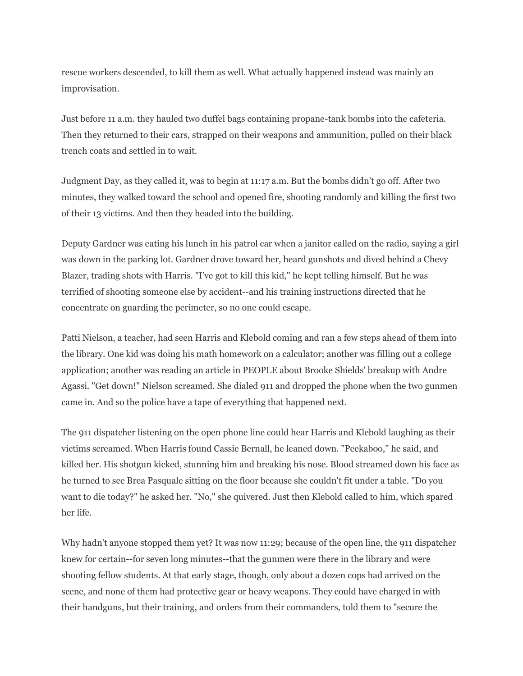rescue workers descended, to kill them as well. What actually happened instead was mainly an improvisation.

Just before 11 a.m. they hauled two duffel bags containing propane-tank bombs into the cafeteria. Then they returned to their cars, strapped on their weapons and ammunition, pulled on their black trench coats and settled in to wait.

Judgment Day, as they called it, was to begin at 11:17 a.m. But the bombs didn't go off. After two minutes, they walked toward the school and opened fire, shooting randomly and killing the first two of their 13 victims. And then they headed into the building.

Deputy Gardner was eating his lunch in his patrol car when a janitor called on the radio, saying a girl was down in the parking lot. Gardner drove toward her, heard gunshots and dived behind a Chevy Blazer, trading shots with Harris. "I've got to kill this kid," he kept telling himself. But he was terrified of shooting someone else by accident--and his training instructions directed that he concentrate on guarding the perimeter, so no one could escape.

Patti Nielson, a teacher, had seen Harris and Klebold coming and ran a few steps ahead of them into the library. One kid was doing his math homework on a calculator; another was filling out a college application; another was reading an article in PEOPLE about Brooke Shields' breakup with Andre Agassi. "Get down!" Nielson screamed. She dialed 911 and dropped the phone when the two gunmen came in. And so the police have a tape of everything that happened next.

The 911 dispatcher listening on the open phone line could hear Harris and Klebold laughing as their victims screamed. When Harris found Cassie Bernall, he leaned down. "Peekaboo," he said, and killed her. His shotgun kicked, stunning him and breaking his nose. Blood streamed down his face as he turned to see Brea Pasquale sitting on the floor because she couldn't fit under a table. "Do you want to die today?" he asked her. "No," she quivered. Just then Klebold called to him, which spared her life.

Why hadn't anyone stopped them yet? It was now 11:29; because of the open line, the 911 dispatcher knew for certain--for seven long minutes--that the gunmen were there in the library and were shooting fellow students. At that early stage, though, only about a dozen cops had arrived on the scene, and none of them had protective gear or heavy weapons. They could have charged in with their handguns, but their training, and orders from their commanders, told them to "secure the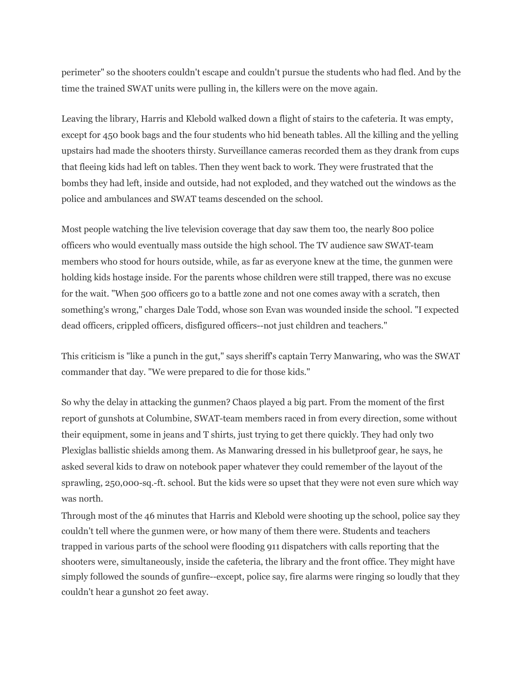perimeter" so the shooters couldn't escape and couldn't pursue the students who had fled. And by the time the trained SWAT units were pulling in, the killers were on the move again.

Leaving the library, Harris and Klebold walked down a flight of stairs to the cafeteria. It was empty, except for 450 book bags and the four students who hid beneath tables. All the killing and the yelling upstairs had made the shooters thirsty. Surveillance cameras recorded them as they drank from cups that fleeing kids had left on tables. Then they went back to work. They were frustrated that the bombs they had left, inside and outside, had not exploded, and they watched out the windows as the police and ambulances and SWAT teams descended on the school.

Most people watching the live television coverage that day saw them too, the nearly 800 police officers who would eventually mass outside the high school. The TV audience saw SWAT-team members who stood for hours outside, while, as far as everyone knew at the time, the gunmen were holding kids hostage inside. For the parents whose children were still trapped, there was no excuse for the wait. "When 500 officers go to a battle zone and not one comes away with a scratch, then something's wrong," charges Dale Todd, whose son Evan was wounded inside the school. "I expected dead officers, crippled officers, disfigured officers--not just children and teachers."

This criticism is "like a punch in the gut," says sheriff's captain Terry Manwaring, who was the SWAT commander that day. "We were prepared to die for those kids."

So why the delay in attacking the gunmen? Chaos played a big part. From the moment of the first report of gunshots at Columbine, SWAT-team members raced in from every direction, some without their equipment, some in jeans and T shirts, just trying to get there quickly. They had only two Plexiglas ballistic shields among them. As Manwaring dressed in his bulletproof gear, he says, he asked several kids to draw on notebook paper whatever they could remember of the layout of the sprawling, 250,000-sq.-ft. school. But the kids were so upset that they were not even sure which way was north.

Through most of the 46 minutes that Harris and Klebold were shooting up the school, police say they couldn't tell where the gunmen were, or how many of them there were. Students and teachers trapped in various parts of the school were flooding 911 dispatchers with calls reporting that the shooters were, simultaneously, inside the cafeteria, the library and the front office. They might have simply followed the sounds of gunfire--except, police say, fire alarms were ringing so loudly that they couldn't hear a gunshot 20 feet away.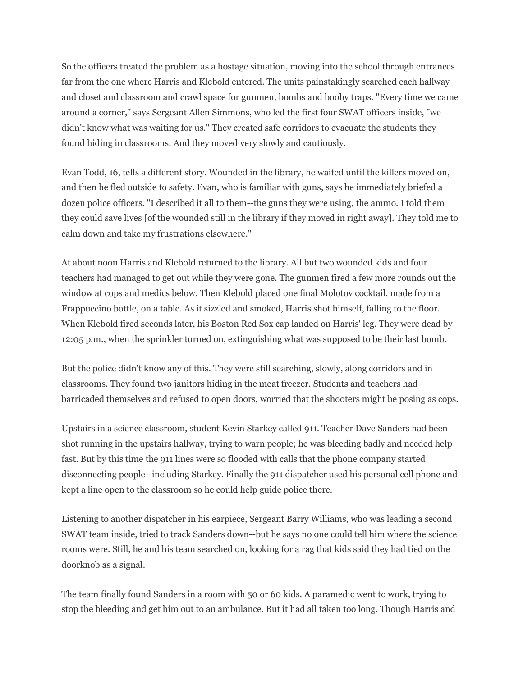So the officers treated the problem as a hostage situation, moving into the school through entrances far from the one where Harris and Klebold entered. The units painstakingly searched each hallway and closet and classroom and crawl space for gunmen, bombs and booby traps. "Every time we came around a corner," says Sergeant Allen Simmons, who led the first four SWAT officers inside, "we didn't know what was waiting for us." They created safe corridors to evacuate the students they found hiding in classrooms. And they moved very slowly and cautiously.

Evan Todd, 16, tells a different story. Wounded in the library, he waited until the killers moved on, and then he fled outside to safety. Evan, who is familiar with guns, says he immediately briefed a dozen police officers. "I described it all to them--the guns they were using, the ammo. I told them they could save lives [of the wounded still in the library if they moved in right away]. They told me to calm down and take my frustrations elsewhere."

At about noon Harris and Klebold returned to the library. All but two wounded kids and four teachers had managed to get out while they were gone. The gunmen fired a few more rounds out the window at cops and medics below. Then Klebold placed one final Molotov cocktail, made from a Frappuccino bottle, on a table. As it sizzled and smoked, Harris shot himself, falling to the floor. When Klebold fired seconds later, his Boston Red Sox cap landed on Harris' leg. They were dead by 12:05 p.m., when the sprinkler turned on, extinguishing what was supposed to be their last bomb.

But the police didn't know any of this. They were still searching, slowly, along corridors and in classrooms. They found two janitors hiding in the meat freezer. Students and teachers had barricaded themselves and refused to open doors, worried that the shooters might be posing as cops.

Upstairs in a science classroom, student Kevin Starkey called 911. Teacher Dave Sanders had been shot running in the upstairs hallway, trying to warn people; he was bleeding badly and needed help fast. But by this time the 911 lines were so flooded with calls that the phone company started disconnecting people--including Starkey. Finally the 911 dispatcher used his personal cell phone and kept a line open to the classroom so he could help guide police there.

Listening to another dispatcher in his earpiece, Sergeant Barry Williams, who was leading a second SWAT team inside, tried to track Sanders down--but he says no one could tell him where the science rooms were. Still, he and his team searched on, looking for a rag that kids said they had tied on the doorknob as a signal.

The team finally found Sanders in a room with 50 or 60 kids. A paramedic went to work, trying to stop the bleeding and get him out to an ambulance. But it had all taken too long. Though Harris and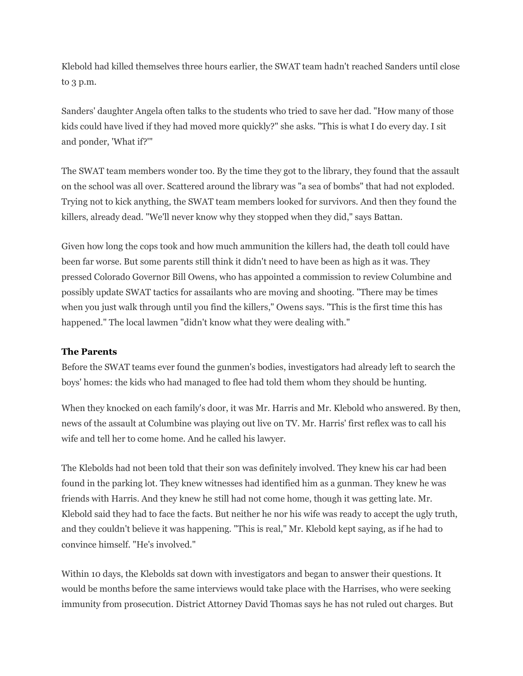Klebold had killed themselves three hours earlier, the SWAT team hadn't reached Sanders until close to 3 p.m.

Sanders' daughter Angela often talks to the students who tried to save her dad. "How many of those kids could have lived if they had moved more quickly?" she asks. "This is what I do every day. I sit and ponder, 'What if?'"

The SWAT team members wonder too. By the time they got to the library, they found that the assault on the school was all over. Scattered around the library was "a sea of bombs" that had not exploded. Trying not to kick anything, the SWAT team members looked for survivors. And then they found the killers, already dead. "We'll never know why they stopped when they did," says Battan.

Given how long the cops took and how much ammunition the killers had, the death toll could have been far worse. But some parents still think it didn't need to have been as high as it was. They pressed Colorado Governor Bill Owens, who has appointed a commission to review Columbine and possibly update SWAT tactics for assailants who are moving and shooting. "There may be times when you just walk through until you find the killers," Owens says. "This is the first time this has happened." The local lawmen "didn't know what they were dealing with."

## **The Parents**

Before the SWAT teams ever found the gunmen's bodies, investigators had already left to search the boys' homes: the kids who had managed to flee had told them whom they should be hunting.

When they knocked on each family's door, it was Mr. Harris and Mr. Klebold who answered. By then, news of the assault at Columbine was playing out live on TV. Mr. Harris' first reflex was to call his wife and tell her to come home. And he called his lawyer.

The Klebolds had not been told that their son was definitely involved. They knew his car had been found in the parking lot. They knew witnesses had identified him as a gunman. They knew he was friends with Harris. And they knew he still had not come home, though it was getting late. Mr. Klebold said they had to face the facts. But neither he nor his wife was ready to accept the ugly truth, and they couldn't believe it was happening. "This is real," Mr. Klebold kept saying, as if he had to convince himself. "He's involved."

Within 10 days, the Klebolds sat down with investigators and began to answer their questions. It would be months before the same interviews would take place with the Harrises, who were seeking immunity from prosecution. District Attorney David Thomas says he has not ruled out charges. But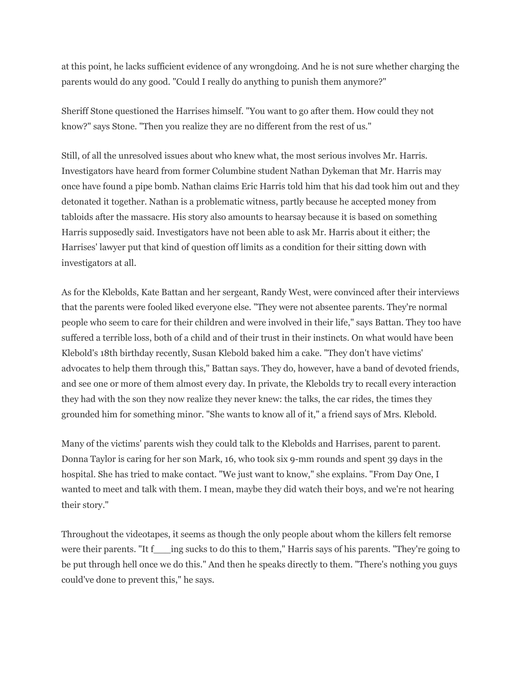at this point, he lacks sufficient evidence of any wrongdoing. And he is not sure whether charging the parents would do any good. "Could I really do anything to punish them anymore?"

Sheriff Stone questioned the Harrises himself. "You want to go after them. How could they not know?" says Stone. "Then you realize they are no different from the rest of us."

Still, of all the unresolved issues about who knew what, the most serious involves Mr. Harris. Investigators have heard from former Columbine student Nathan Dykeman that Mr. Harris may once have found a pipe bomb. Nathan claims Eric Harris told him that his dad took him out and they detonated it together. Nathan is a problematic witness, partly because he accepted money from tabloids after the massacre. His story also amounts to hearsay because it is based on something Harris supposedly said. Investigators have not been able to ask Mr. Harris about it either; the Harrises' lawyer put that kind of question off limits as a condition for their sitting down with investigators at all.

As for the Klebolds, Kate Battan and her sergeant, Randy West, were convinced after their interviews that the parents were fooled liked everyone else. "They were not absentee parents. They're normal people who seem to care for their children and were involved in their life," says Battan. They too have suffered a terrible loss, both of a child and of their trust in their instincts. On what would have been Klebold's 18th birthday recently, Susan Klebold baked him a cake. "They don't have victims' advocates to help them through this," Battan says. They do, however, have a band of devoted friends, and see one or more of them almost every day. In private, the Klebolds try to recall every interaction they had with the son they now realize they never knew: the talks, the car rides, the times they grounded him for something minor. "She wants to know all of it," a friend says of Mrs. Klebold.

Many of the victims' parents wish they could talk to the Klebolds and Harrises, parent to parent. Donna Taylor is caring for her son Mark, 16, who took six 9-mm rounds and spent 39 days in the hospital. She has tried to make contact. "We just want to know," she explains. "From Day One, I wanted to meet and talk with them. I mean, maybe they did watch their boys, and we're not hearing their story."

Throughout the videotapes, it seems as though the only people about whom the killers felt remorse were their parents. "It f\_\_\_ing sucks to do this to them," Harris says of his parents. "They're going to be put through hell once we do this." And then he speaks directly to them. "There's nothing you guys could've done to prevent this," he says.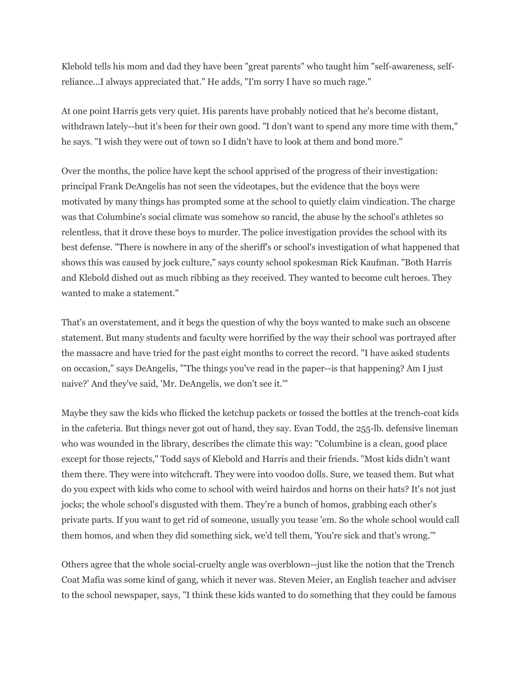Klebold tells his mom and dad they have been "great parents" who taught him "self-awareness, selfreliance...I always appreciated that." He adds, "I'm sorry I have so much rage."

At one point Harris gets very quiet. His parents have probably noticed that he's become distant, withdrawn lately--but it's been for their own good. "I don't want to spend any more time with them," he says. "I wish they were out of town so I didn't have to look at them and bond more."

Over the months, the police have kept the school apprised of the progress of their investigation: principal Frank DeAngelis has not seen the videotapes, but the evidence that the boys were motivated by many things has prompted some at the school to quietly claim vindication. The charge was that Columbine's social climate was somehow so rancid, the abuse by the school's athletes so relentless, that it drove these boys to murder. The police investigation provides the school with its best defense. "There is nowhere in any of the sheriff's or school's investigation of what happened that shows this was caused by jock culture," says county school spokesman Rick Kaufman. "Both Harris and Klebold dished out as much ribbing as they received. They wanted to become cult heroes. They wanted to make a statement."

That's an overstatement, and it begs the question of why the boys wanted to make such an obscene statement. But many students and faculty were horrified by the way their school was portrayed after the massacre and have tried for the past eight months to correct the record. "I have asked students on occasion," says DeAngelis, "'The things you've read in the paper--is that happening? Am I just naive?' And they've said, 'Mr. DeAngelis, we don't see it.'"

Maybe they saw the kids who flicked the ketchup packets or tossed the bottles at the trench-coat kids in the cafeteria. But things never got out of hand, they say. Evan Todd, the 255-lb. defensive lineman who was wounded in the library, describes the climate this way: "Columbine is a clean, good place except for those rejects," Todd says of Klebold and Harris and their friends. "Most kids didn't want them there. They were into witchcraft. They were into voodoo dolls. Sure, we teased them. But what do you expect with kids who come to school with weird hairdos and horns on their hats? It's not just jocks; the whole school's disgusted with them. They're a bunch of homos, grabbing each other's private parts. If you want to get rid of someone, usually you tease 'em. So the whole school would call them homos, and when they did something sick, we'd tell them, 'You're sick and that's wrong.'"

Others agree that the whole social-cruelty angle was overblown--just like the notion that the Trench Coat Mafia was some kind of gang, which it never was. Steven Meier, an English teacher and adviser to the school newspaper, says, "I think these kids wanted to do something that they could be famous